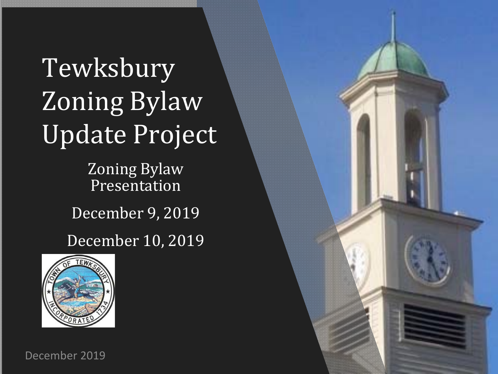### Tewksbury Zoning Bylaw Update Project

Zoning Bylaw Presentation

December 9, 2019

December 10, 2019



December 2019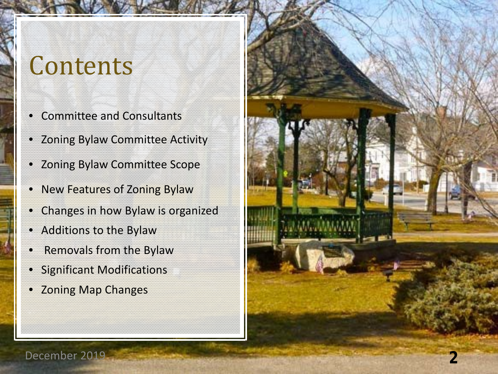### **Contents**

- Committee and Consultants
- Zoning Bylaw Committee Activity
- Zoning Bylaw Committee Scope
- New Features of Zoning Bylaw
- Changes in how Bylaw is organized
- Additions to the Bylaw
- Removals from the Bylaw
- Significant Modifications
- Zoning Map Changes

December 2019 **2**

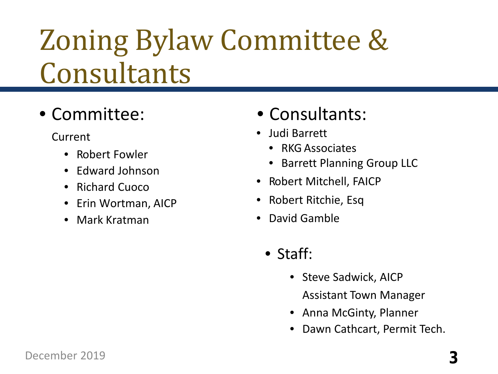### Zoning Bylaw Committee & Consultants

#### • Committee:

Current

- Robert Fowler
- Edward Johnson
- Richard Cuoco
- Erin Wortman, AICP
- Mark Kratman

#### • Consultants:

- Judi Barrett
	- RKG Associates
	- Barrett Planning Group LLC
- Robert Mitchell, FAICP
- Robert Ritchie, Esq
- David Gamble
	- Staff:
		- Steve Sadwick, AICP Assistant Town Manager
		- Anna McGinty, Planner
		- Dawn Cathcart, Permit Tech.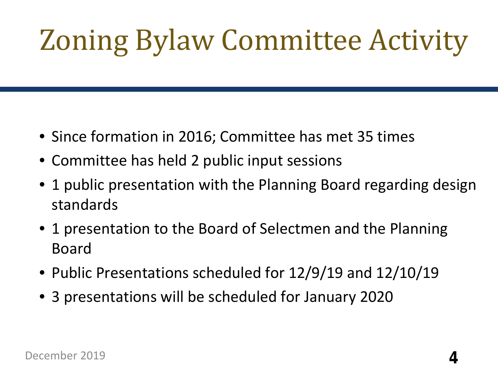# Zoning Bylaw Committee Activity

- Since formation in 2016; Committee has met 35 times
- Committee has held 2 public input sessions
- 1 public presentation with the Planning Board regarding design standards
- 1 presentation to the Board of Selectmen and the Planning Board
- Public Presentations scheduled for 12/9/19 and 12/10/19
- 3 presentations will be scheduled for January 2020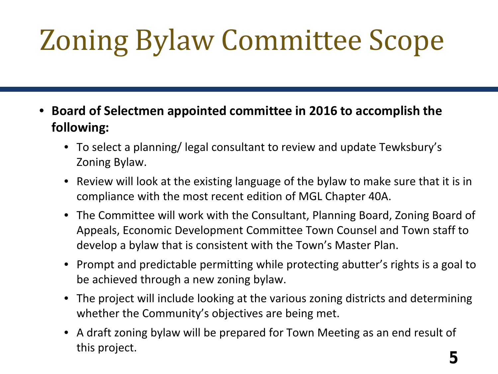# Zoning Bylaw Committee Scope

- **Board of Selectmen appointed committee in 2016 to accomplish the following:**
	- To select a planning/ legal consultant to review and update Tewksbury's Zoning Bylaw.
	- Review will look at the existing language of the bylaw to make sure that it is in compliance with the most recent edition of MGL Chapter 40A.
	- The Committee will work with the Consultant, Planning Board, Zoning Board of Appeals, Economic Development Committee Town Counsel and Town staff to develop a bylaw that is consistent with the Town's Master Plan.
	- Prompt and predictable permitting while protecting abutter's rights is a goal to be achieved through a new zoning bylaw.
	- The project will include looking at the various zoning districts and determining whether the Community's objectives are being met.
	- A draft zoning bylaw will be prepared for Town Meeting as an end result of this project. **5**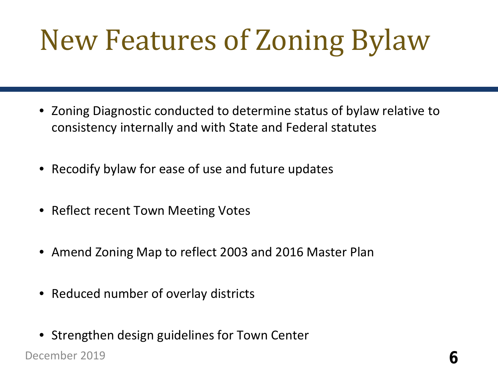## New Features of Zoning Bylaw

- Zoning Diagnostic conducted to determine status of bylaw relative to consistency internally and with State and Federal statutes
- Recodify bylaw for ease of use and future updates
- Reflect recent Town Meeting Votes
- Amend Zoning Map to reflect 2003 and 2016 Master Plan
- Reduced number of overlay districts
- Strengthen design guidelines for Town Center

December 2019 **6**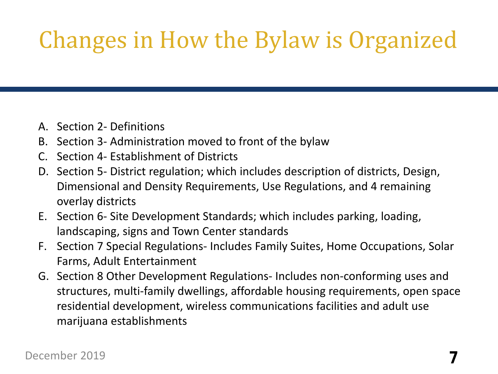### Changes in How the Bylaw is Organized

- A. Section 2- Definitions
- B. Section 3- Administration moved to front of the bylaw
- C. Section 4- Establishment of Districts
- D. Section 5- District regulation; which includes description of districts, Design, Dimensional and Density Requirements, Use Regulations, and 4 remaining overlay districts
- E. Section 6- Site Development Standards; which includes parking, loading, landscaping, signs and Town Center standards
- F. Section 7 Special Regulations- Includes Family Suites, Home Occupations, Solar Farms, Adult Entertainment
- G. Section 8 Other Development Regulations- Includes non-conforming uses and structures, multi-family dwellings, affordable housing requirements, open space residential development, wireless communications facilities and adult use marijuana establishments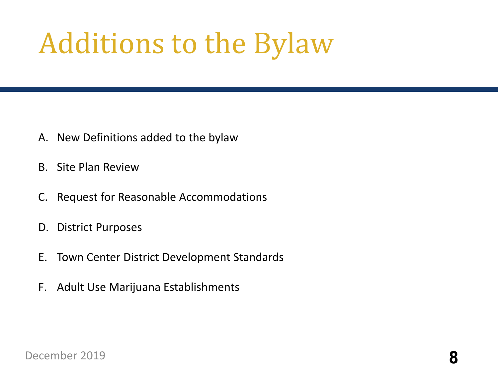### Additions to the Bylaw

- A. New Definitions added to the bylaw
- B. Site Plan Review
- C. Request for Reasonable Accommodations
- D. District Purposes
- E. Town Center District Development Standards
- F. Adult Use Marijuana Establishments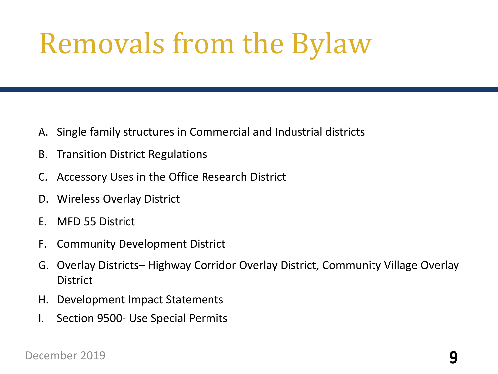### Removals from the Bylaw

- A. Single family structures in Commercial and Industrial districts
- B. Transition District Regulations
- C. Accessory Uses in the Office Research District
- D. Wireless Overlay District
- E. MFD 55 District
- F. Community Development District
- G. Overlay Districts– Highway Corridor Overlay District, Community Village Overlay **District**
- H. Development Impact Statements
- I. Section 9500- Use Special Permits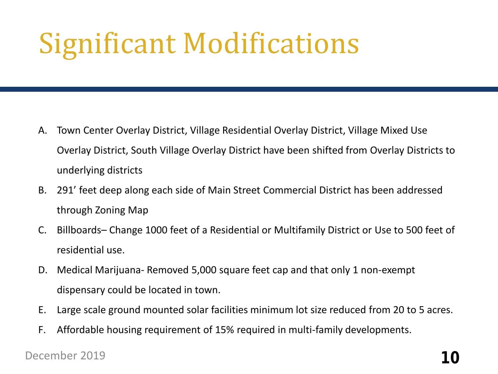### Significant Modifications

- A. Town Center Overlay District, Village Residential Overlay District, Village Mixed Use Overlay District, South Village Overlay District have been shifted from Overlay Districts to underlying districts
- B. 291' feet deep along each side of Main Street Commercial District has been addressed through Zoning Map
- C. Billboards– Change 1000 feet of a Residential or Multifamily District or Use to 500 feet of residential use.
- D. Medical Marijuana- Removed 5,000 square feet cap and that only 1 non-exempt dispensary could be located in town.
- E. Large scale ground mounted solar facilities minimum lot size reduced from 20 to 5 acres.
- F. Affordable housing requirement of 15% required in multi-family developments.

#### December 2019 **10**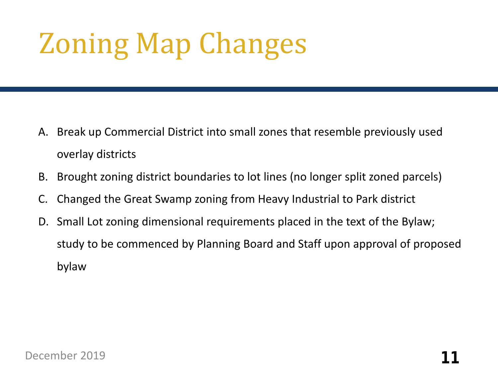### Zoning Map Changes

- A. Break up Commercial District into small zones that resemble previously used overlay districts
- B. Brought zoning district boundaries to lot lines (no longer split zoned parcels)
- C. Changed the Great Swamp zoning from Heavy Industrial to Park district
- D. Small Lot zoning dimensional requirements placed in the text of the Bylaw; study to be commenced by Planning Board and Staff upon approval of proposed bylaw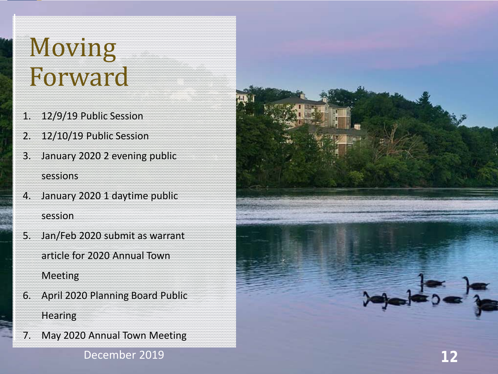### Moving Forward

- 1. 12/9/19 Public Session
- 2. 12/10/19 Public Session
- 3. January 2020 2 evening public sessions
- 4. January 2020 1 daytime public session
- 5. Jan/Feb 2020 submit as warrant article for 2020 Annual Town **Meeting**
- 6. April 2020 Planning Board Public **Hearing**
- 7. May 2020 Annual Town Meeting

December 2019